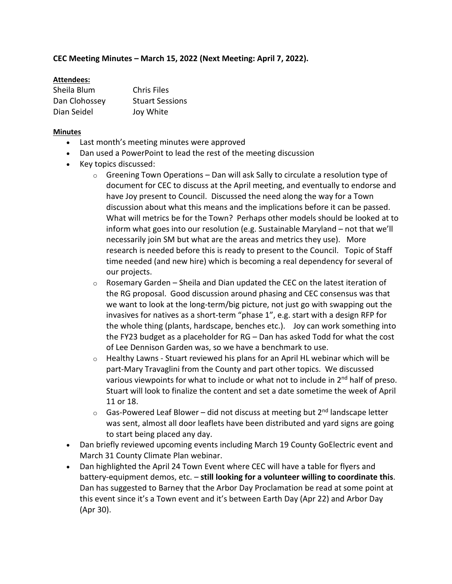## **CEC Meeting Minutes – March 15, 2022 (Next Meeting: April 7, 2022).**

## **Attendees:**

| Sheila Blum   | <b>Chris Files</b>     |
|---------------|------------------------|
| Dan Clohossey | <b>Stuart Sessions</b> |
| Dian Seidel   | Joy White              |

## **Minutes**

- Last month's meeting minutes were approved
- Dan used a PowerPoint to lead the rest of the meeting discussion
- Key topics discussed:
	- $\circ$  Greening Town Operations Dan will ask Sally to circulate a resolution type of document for CEC to discuss at the April meeting, and eventually to endorse and have Joy present to Council. Discussed the need along the way for a Town discussion about what this means and the implications before it can be passed. What will metrics be for the Town? Perhaps other models should be looked at to inform what goes into our resolution (e.g. Sustainable Maryland – not that we'll necessarily join SM but what are the areas and metrics they use). More research is needed before this is ready to present to the Council. Topic of Staff time needed (and new hire) which is becoming a real dependency for several of our projects.
	- $\circ$  Rosemary Garden Sheila and Dian updated the CEC on the latest iteration of the RG proposal. Good discussion around phasing and CEC consensus was that we want to look at the long-term/big picture, not just go with swapping out the invasives for natives as a short-term "phase 1", e.g. start with a design RFP for the whole thing (plants, hardscape, benches etc.). Joy can work something into the FY23 budget as a placeholder for RG – Dan has asked Todd for what the cost of Lee Dennison Garden was, so we have a benchmark to use.
	- $\circ$  Healthy Lawns Stuart reviewed his plans for an April HL webinar which will be part-Mary Travaglini from the County and part other topics. We discussed various viewpoints for what to include or what not to include in 2<sup>nd</sup> half of preso. Stuart will look to finalize the content and set a date sometime the week of April 11 or 18.
	- $\circ$  Gas-Powered Leaf Blower did not discuss at meeting but 2<sup>nd</sup> landscape letter was sent, almost all door leaflets have been distributed and yard signs are going to start being placed any day.
- Dan briefly reviewed upcoming events including March 19 County GoElectric event and March 31 County Climate Plan webinar.
- Dan highlighted the April 24 Town Event where CEC will have a table for flyers and battery-equipment demos, etc. – **still looking for a volunteer willing to coordinate this**. Dan has suggested to Barney that the Arbor Day Proclamation be read at some point at this event since it's a Town event and it's between Earth Day (Apr 22) and Arbor Day (Apr 30).